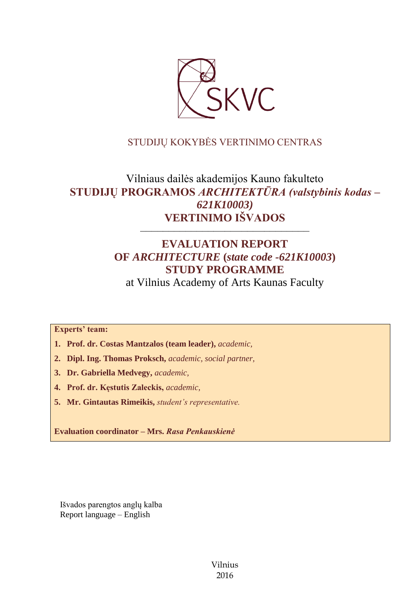

# STUDIJŲ KOKYBĖS VERTINIMO CENTRAS

# Vilniaus dailės akademijos Kauno fakulteto **STUDIJŲ PROGRAMOS** *ARCHITEKTŪRA (valstybinis kodas – 621K10003)* **VERTINIMO IŠVADOS**

# **EVALUATION REPORT OF** *ARCHITECTURE* **(***state code -621K10003***) STUDY PROGRAMME**

––––––––––––––––––––––––––––––

at Vilnius Academy of Arts Kaunas Faculty

**Experts' team:** 

- **1. Prof. dr. Costas Mantzalos (team leader),** *academic,*
- **2. Dipl. Ing. Thomas Proksch,** *academic, social partner,*
- **3. Dr. Gabriella Medvegy,** *academic,*
- **4. Prof. dr. Kęstutis Zaleckis,** *academic,*
- **5. Mr. Gintautas Rimeikis,** *student's representative.*

**Evaluation coordinator – Mrs.** *Rasa Penkauskienė* 

Išvados parengtos anglų kalba Report language – English

> Vilnius 2016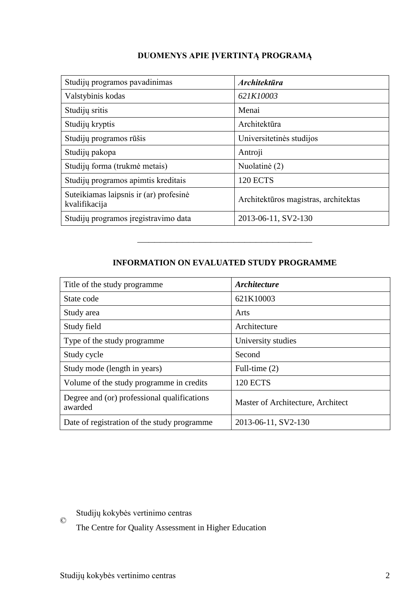# **DUOMENYS APIE ĮVERTINTĄ PROGRAMĄ**

| Studijų programos pavadinimas                           | <b>Architektūra</b>                  |
|---------------------------------------------------------|--------------------------------------|
| Valstybinis kodas                                       | 621K10003                            |
| Studijų sritis                                          | Menai                                |
| Studijų kryptis                                         | Architektūra                         |
| Studijų programos rūšis                                 | Universitetinės studijos             |
| Studijų pakopa                                          | Antroji                              |
| Studijų forma (trukmė metais)                           | Nuolatinė (2)                        |
| Studijų programos apimtis kreditais                     | <b>120 ECTS</b>                      |
| Suteikiamas laipsnis ir (ar) profesinė<br>kvalifikacija | Architektūros magistras, architektas |
| Studijų programos įregistravimo data                    | 2013-06-11, SV2-130                  |

# **INFORMATION ON EVALUATED STUDY PROGRAMME**

–––––––––––––––––––––––––––––––

| Title of the study programme.                          | <b>Architecture</b>               |
|--------------------------------------------------------|-----------------------------------|
| State code                                             | 621K10003                         |
| Study area                                             | Arts                              |
| Study field                                            | Architecture                      |
| Type of the study programme                            | University studies                |
| Study cycle                                            | Second                            |
| Study mode (length in years)                           | Full-time $(2)$                   |
| Volume of the study programme in credits               | <b>120 ECTS</b>                   |
| Degree and (or) professional qualifications<br>awarded | Master of Architecture, Architect |
| Date of registration of the study programme            | 2013-06-11, SV2-130               |

© Studijų kokybės vertinimo centras

The Centre for Quality Assessment in Higher Education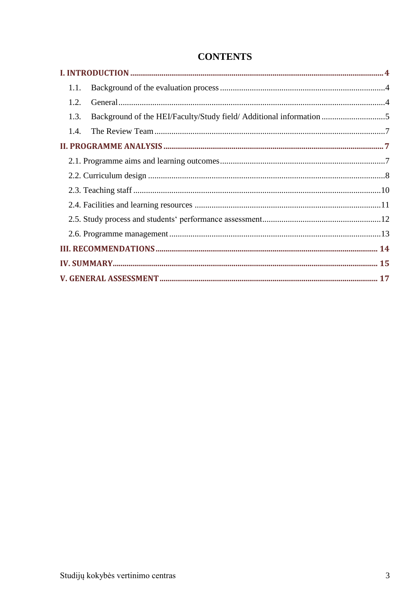| Background of the HEI/Faculty/Study field/ Additional information 5 |
|---------------------------------------------------------------------|
|                                                                     |
|                                                                     |
|                                                                     |
|                                                                     |
|                                                                     |
|                                                                     |
|                                                                     |
|                                                                     |
|                                                                     |
|                                                                     |
|                                                                     |
|                                                                     |

# **CONTENTS**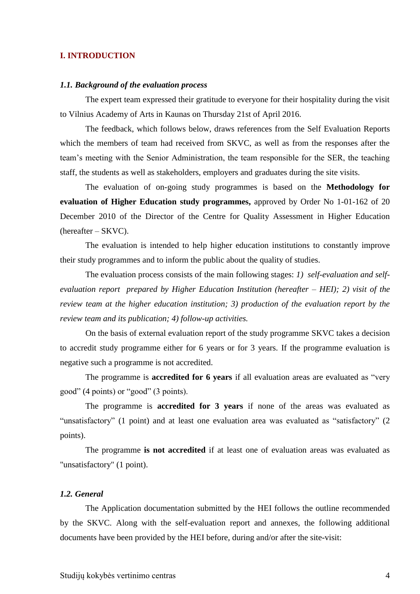#### <span id="page-3-0"></span>**I. INTRODUCTION**

#### <span id="page-3-1"></span>*1.1. Background of the evaluation process*

The expert team expressed their gratitude to everyone for their hospitality during the visit to Vilnius Academy of Arts in Kaunas on Thursday 21st of April 2016.

The feedback, which follows below, draws references from the Self Evaluation Reports which the members of team had received from SKVC, as well as from the responses after the team's meeting with the Senior Administration, the team responsible for the SER, the teaching staff, the students as well as stakeholders, employers and graduates during the site visits.

The evaluation of on-going study programmes is based on the **Methodology for evaluation of Higher Education study programmes,** approved by Order No 1-01-162 of 20 December 2010 of the Director of the Centre for Quality Assessment in Higher Education (hereafter – SKVC).

The evaluation is intended to help higher education institutions to constantly improve their study programmes and to inform the public about the quality of studies.

The evaluation process consists of the main following stages: *1) self-evaluation and selfevaluation report prepared by Higher Education Institution (hereafter – HEI); 2) visit of the review team at the higher education institution; 3) production of the evaluation report by the review team and its publication; 4) follow-up activities.* 

On the basis of external evaluation report of the study programme SKVC takes a decision to accredit study programme either for 6 years or for 3 years. If the programme evaluation is negative such a programme is not accredited.

The programme is **accredited for 6 years** if all evaluation areas are evaluated as "very good" (4 points) or "good" (3 points).

The programme is **accredited for 3 years** if none of the areas was evaluated as "unsatisfactory" (1 point) and at least one evaluation area was evaluated as "satisfactory" (2 points).

The programme **is not accredited** if at least one of evaluation areas was evaluated as "unsatisfactory" (1 point).

## <span id="page-3-2"></span>*1.2. General*

The Application documentation submitted by the HEI follows the outline recommended by the SKVC. Along with the self-evaluation report and annexes, the following additional documents have been provided by the HEI before, during and/or after the site-visit: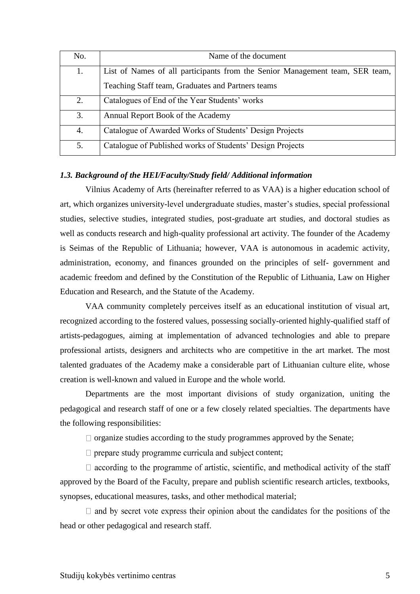| No. | Name of the document                                                         |
|-----|------------------------------------------------------------------------------|
| 1.  | List of Names of all participants from the Senior Management team, SER team, |
|     | Teaching Staff team, Graduates and Partners teams                            |
| 2.  | Catalogues of End of the Year Students' works                                |
| 3.  | Annual Report Book of the Academy                                            |
| 4.  | Catalogue of Awarded Works of Students' Design Projects                      |
| 5.  | Catalogue of Published works of Students' Design Projects                    |

### <span id="page-4-0"></span>*1.3. Background of the HEI/Faculty/Study field/ Additional information*

Vilnius Academy of Arts (hereinafter referred to as VAA) is a higher education school of art, which organizes university-level undergraduate studies, master's studies, special professional studies, selective studies, integrated studies, post-graduate art studies, and doctoral studies as well as conducts research and high-quality professional art activity. The founder of the Academy is Seimas of the Republic of Lithuania; however, VAA is autonomous in academic activity, administration, economy, and finances grounded on the principles of self- government and academic freedom and defined by the Constitution of the Republic of Lithuania, Law on Higher Education and Research, and the Statute of the Academy.

VAA community completely perceives itself as an educational institution of visual art, recognized according to the fostered values, possessing socially-oriented highly-qualified staff of artists-pedagogues, aiming at implementation of advanced technologies and able to prepare professional artists, designers and architects who are competitive in the art market. The most talented graduates of the Academy make a considerable part of Lithuanian culture elite, whose creation is well-known and valued in Europe and the whole world.

Departments are the most important divisions of study organization, uniting the pedagogical and research staff of one or a few closely related specialties. The departments have the following responsibilities:

 $\Box$  organize studies according to the study programmes approved by the Senate;

 $\Box$  prepare study programme curricula and subject content;

 $\Box$  according to the programme of artistic, scientific, and methodical activity of the staff approved by the Board of the Faculty, prepare and publish scientific research articles, textbooks, synopses, educational measures, tasks, and other methodical material;

 $\Box$  and by secret vote express their opinion about the candidates for the positions of the head or other pedagogical and research staff.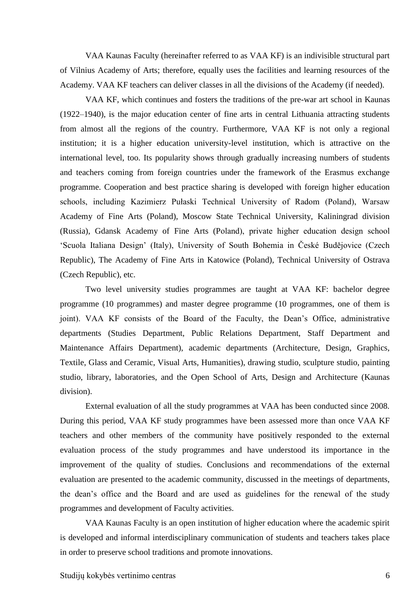VAA Kaunas Faculty (hereinafter referred to as VAA KF) is an indivisible structural part of Vilnius Academy of Arts; therefore, equally uses the facilities and learning resources of the Academy. VAA KF teachers can deliver classes in all the divisions of the Academy (if needed).

VAA KF, which continues and fosters the traditions of the pre-war art school in Kaunas (1922–1940), is the major education center of fine arts in central Lithuania attracting students from almost all the regions of the country. Furthermore, VAA KF is not only a regional institution; it is a higher education university-level institution, which is attractive on the international level, too. Its popularity shows through gradually increasing numbers of students and teachers coming from foreign countries under the framework of the Erasmus exchange programme. Cooperation and best practice sharing is developed with foreign higher education schools, including Kazimierz Pułaski Technical University of Radom (Poland), Warsaw Academy of Fine Arts (Poland), Moscow State Technical University, Kaliningrad division (Russia), Gdansk Academy of Fine Arts (Poland), private higher education design school 'Scuola Italiana Design' (Italy), University of South Bohemia in České Budějovice (Czech Republic), The Academy of Fine Arts in Katowice (Poland), Technical University of Ostrava (Czech Republic), etc.

Two level university studies programmes are taught at VAA KF: bachelor degree programme (10 programmes) and master degree programme (10 programmes, one of them is joint). VAA KF consists of the Board of the Faculty, the Dean's Office, administrative departments (Studies Department, Public Relations Department, Staff Department and Maintenance Affairs Department), academic departments (Architecture, Design, Graphics, Textile, Glass and Ceramic, Visual Arts, Humanities), drawing studio, sculpture studio, painting studio, library, laboratories, and the Open School of Arts, Design and Architecture (Kaunas division).

External evaluation of all the study programmes at VAA has been conducted since 2008. During this period, VAA KF study programmes have been assessed more than once VAA KF teachers and other members of the community have positively responded to the external evaluation process of the study programmes and have understood its importance in the improvement of the quality of studies. Conclusions and recommendations of the external evaluation are presented to the academic community, discussed in the meetings of departments, the dean's office and the Board and are used as guidelines for the renewal of the study programmes and development of Faculty activities.

VAA Kaunas Faculty is an open institution of higher education where the academic spirit is developed and informal interdisciplinary communication of students and teachers takes place in order to preserve school traditions and promote innovations.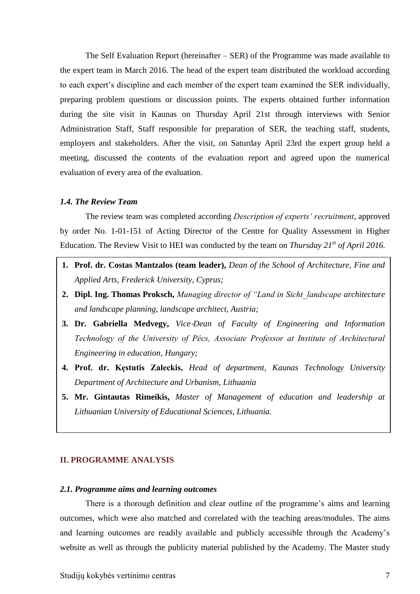The Self Evaluation Report (hereinafter – SER) of the Programme was made available to the expert team in March 2016. The head of the expert team distributed the workload according to each expert's discipline and each member of the expert team examined the SER individually, preparing problem questions or discussion points. The experts obtained further information during the site visit in Kaunas on Thursday April 21st through interviews with Senior Administration Staff, Staff responsible for preparation of SER, the teaching staff, students, employers and stakeholders. After the visit, on Saturday April 23rd the expert group held a meeting, discussed the contents of the evaluation report and agreed upon the numerical evaluation of every area of the evaluation.

#### <span id="page-6-0"></span>*1.4. The Review Team*

The review team was completed according *Description of experts' recruitment*, approved by order No. 1-01-151 of Acting Director of the Centre for Quality Assessment in Higher Education. The Review Visit to HEI was conducted by the team on *Thursday 21st of April 2016.*

- **1. Prof. dr. Costas Mantzalos (team leader),** *Dean of the School of Architecture, Fine and Applied Arts, Frederick University, Cyprus;*
- **2. Dipl. Ing. Thomas Proksch,** *Managing director of "Land in Sicht\_landscape architecture and landscape planning, landscape architect, Austria;*
- **3. Dr. Gabriella Medvegy,** *Vice*‐*Dean of Faculty of Engineering and Information Technology of the University of Pécs, Associate Professor at Institute of Architectural Engineering in education, Hungary;*
- **4. Prof. dr. Kęstutis Zaleckis,** *Head of department, Kaunas Technology University Department of Architecture and Urbanism, Lithuania*
- **5. Mr. Gintautas Rimeikis,** *Master of Management of education and leadership at Lithuanian University of Educational Sciences, Lithuania.*

### <span id="page-6-1"></span>**II. PROGRAMME ANALYSIS**

#### <span id="page-6-2"></span>*2.1. Programme aims and learning outcomes*

There is a thorough definition and clear outline of the programme's aims and learning outcomes, which were also matched and correlated with the teaching areas/modules. The aims and learning outcomes are readily available and publicly accessible through the Academy's website as well as through the publicity material published by the Academy. The Master study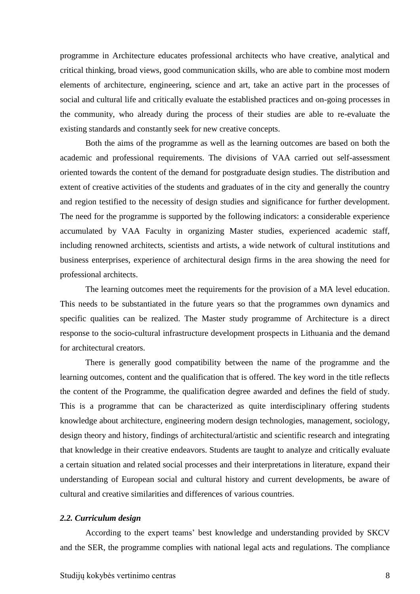programme in Architecture educates professional architects who have creative, analytical and critical thinking, broad views, good communication skills, who are able to combine most modern elements of architecture, engineering, science and art, take an active part in the processes of social and cultural life and critically evaluate the established practices and on-going processes in the community, who already during the process of their studies are able to re-evaluate the existing standards and constantly seek for new creative concepts.

Both the aims of the programme as well as the learning outcomes are based on both the academic and professional requirements. The divisions of VAA carried out self-assessment oriented towards the content of the demand for postgraduate design studies. The distribution and extent of creative activities of the students and graduates of in the city and generally the country and region testified to the necessity of design studies and significance for further development. The need for the programme is supported by the following indicators: a considerable experience accumulated by VAA Faculty in organizing Master studies, experienced academic staff, including renowned architects, scientists and artists, a wide network of cultural institutions and business enterprises, experience of architectural design firms in the area showing the need for professional architects.

The learning outcomes meet the requirements for the provision of a MA level education. This needs to be substantiated in the future years so that the programmes own dynamics and specific qualities can be realized. The Master study programme of Architecture is a direct response to the socio-cultural infrastructure development prospects in Lithuania and the demand for architectural creators.

There is generally good compatibility between the name of the programme and the learning outcomes, content and the qualification that is offered. The key word in the title reflects the content of the Programme, the qualification degree awarded and defines the field of study. This is a programme that can be characterized as quite interdisciplinary offering students knowledge about architecture, engineering modern design technologies, management, sociology, design theory and history, findings of architectural/artistic and scientific research and integrating that knowledge in their creative endeavors. Students are taught to analyze and critically evaluate a certain situation and related social processes and their interpretations in literature, expand their understanding of European social and cultural history and current developments, be aware of cultural and creative similarities and differences of various countries.

#### <span id="page-7-0"></span>*2.2. Curriculum design*

According to the expert teams' best knowledge and understanding provided by SKCV and the SER, the programme complies with national legal acts and regulations. The compliance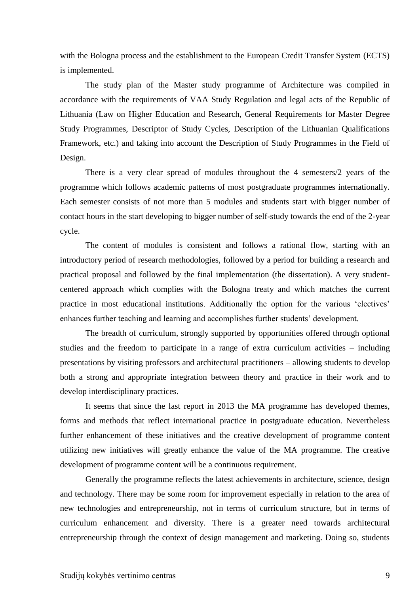with the Bologna process and the establishment to the European Credit Transfer System (ECTS) is implemented.

The study plan of the Master study programme of Architecture was compiled in accordance with the requirements of VAA Study Regulation and legal acts of the Republic of Lithuania (Law on Higher Education and Research, General Requirements for Master Degree Study Programmes, Descriptor of Study Cycles, Description of the Lithuanian Qualifications Framework, etc.) and taking into account the Description of Study Programmes in the Field of Design.

There is a very clear spread of modules throughout the 4 semesters/2 years of the programme which follows academic patterns of most postgraduate programmes internationally. Each semester consists of not more than 5 modules and students start with bigger number of contact hours in the start developing to bigger number of self-study towards the end of the 2-year cycle.

The content of modules is consistent and follows a rational flow, starting with an introductory period of research methodologies, followed by a period for building a research and practical proposal and followed by the final implementation (the dissertation). A very studentcentered approach which complies with the Bologna treaty and which matches the current practice in most educational institutions. Additionally the option for the various 'electives' enhances further teaching and learning and accomplishes further students' development.

The breadth of curriculum, strongly supported by opportunities offered through optional studies and the freedom to participate in a range of extra curriculum activities – including presentations by visiting professors and architectural practitioners – allowing students to develop both a strong and appropriate integration between theory and practice in their work and to develop interdisciplinary practices.

It seems that since the last report in 2013 the MA programme has developed themes, forms and methods that reflect international practice in postgraduate education. Nevertheless further enhancement of these initiatives and the creative development of programme content utilizing new initiatives will greatly enhance the value of the MA programme. The creative development of programme content will be a continuous requirement.

Generally the programme reflects the latest achievements in architecture, science, design and technology. There may be some room for improvement especially in relation to the area of new technologies and entrepreneurship, not in terms of curriculum structure, but in terms of curriculum enhancement and diversity. There is a greater need towards architectural entrepreneurship through the context of design management and marketing. Doing so, students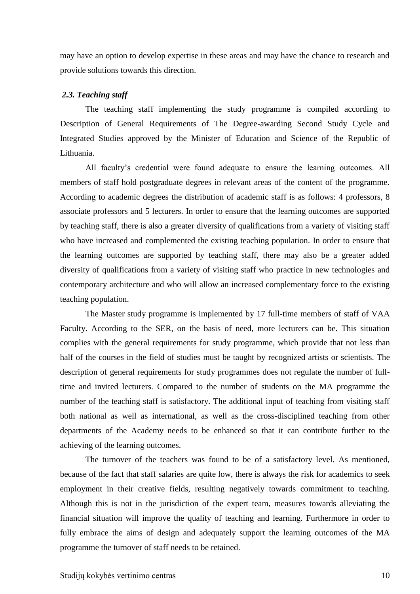may have an option to develop expertise in these areas and may have the chance to research and provide solutions towards this direction.

#### <span id="page-9-0"></span>*2.3. Teaching staff*

The teaching staff implementing the study programme is compiled according to Description of General Requirements of The Degree-awarding Second Study Cycle and Integrated Studies approved by the Minister of Education and Science of the Republic of Lithuania.

All faculty's credential were found adequate to ensure the learning outcomes. All members of staff hold postgraduate degrees in relevant areas of the content of the programme. According to academic degrees the distribution of academic staff is as follows: 4 professors, 8 associate professors and 5 lecturers. In order to ensure that the learning outcomes are supported by teaching staff, there is also a greater diversity of qualifications from a variety of visiting staff who have increased and complemented the existing teaching population. In order to ensure that the learning outcomes are supported by teaching staff, there may also be a greater added diversity of qualifications from a variety of visiting staff who practice in new technologies and contemporary architecture and who will allow an increased complementary force to the existing teaching population.

The Master study programme is implemented by 17 full-time members of staff of VAA Faculty. According to the SER, on the basis of need, more lecturers can be. This situation complies with the general requirements for study programme, which provide that not less than half of the courses in the field of studies must be taught by recognized artists or scientists. The description of general requirements for study programmes does not regulate the number of fulltime and invited lecturers. Compared to the number of students on the MA programme the number of the teaching staff is satisfactory. The additional input of teaching from visiting staff both national as well as international, as well as the cross-disciplined teaching from other departments of the Academy needs to be enhanced so that it can contribute further to the achieving of the learning outcomes.

The turnover of the teachers was found to be of a satisfactory level. As mentioned, because of the fact that staff salaries are quite low, there is always the risk for academics to seek employment in their creative fields, resulting negatively towards commitment to teaching. Although this is not in the jurisdiction of the expert team, measures towards alleviating the financial situation will improve the quality of teaching and learning. Furthermore in order to fully embrace the aims of design and adequately support the learning outcomes of the MA programme the turnover of staff needs to be retained.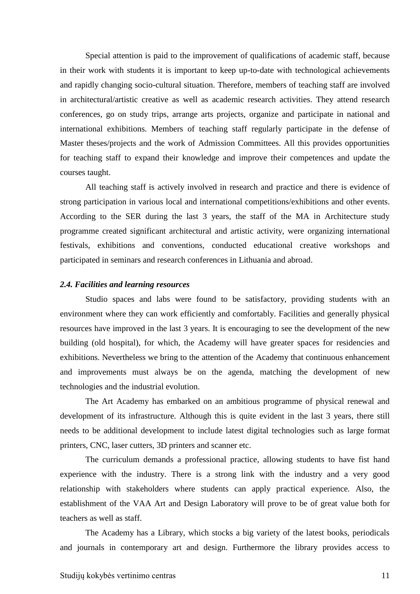Special attention is paid to the improvement of qualifications of academic staff, because in their work with students it is important to keep up-to-date with technological achievements and rapidly changing socio-cultural situation. Therefore, members of teaching staff are involved in architectural/artistic creative as well as academic research activities. They attend research conferences, go on study trips, arrange arts projects, organize and participate in national and international exhibitions. Members of teaching staff regularly participate in the defense of Master theses/projects and the work of Admission Committees. All this provides opportunities for teaching staff to expand their knowledge and improve their competences and update the courses taught.

All teaching staff is actively involved in research and practice and there is evidence of strong participation in various local and international competitions/exhibitions and other events. According to the SER during the last 3 years, the staff of the MA in Architecture study programme created significant architectural and artistic activity, were organizing international festivals, exhibitions and conventions, conducted educational creative workshops and participated in seminars and research conferences in Lithuania and abroad.

#### <span id="page-10-0"></span>*2.4. Facilities and learning resources*

Studio spaces and labs were found to be satisfactory, providing students with an environment where they can work efficiently and comfortably. Facilities and generally physical resources have improved in the last 3 years. It is encouraging to see the development of the new building (old hospital), for which, the Academy will have greater spaces for residencies and exhibitions. Nevertheless we bring to the attention of the Academy that continuous enhancement and improvements must always be on the agenda, matching the development of new technologies and the industrial evolution.

The Art Academy has embarked on an ambitious programme of physical renewal and development of its infrastructure. Although this is quite evident in the last 3 years, there still needs to be additional development to include latest digital technologies such as large format printers, CNC, laser cutters, 3D printers and scanner etc.

The curriculum demands a professional practice, allowing students to have fist hand experience with the industry. There is a strong link with the industry and a very good relationship with stakeholders where students can apply practical experience. Also, the establishment of the VAA Art and Design Laboratory will prove to be of great value both for teachers as well as staff.

The Academy has a Library, which stocks a big variety of the latest books, periodicals and journals in contemporary art and design. Furthermore the library provides access to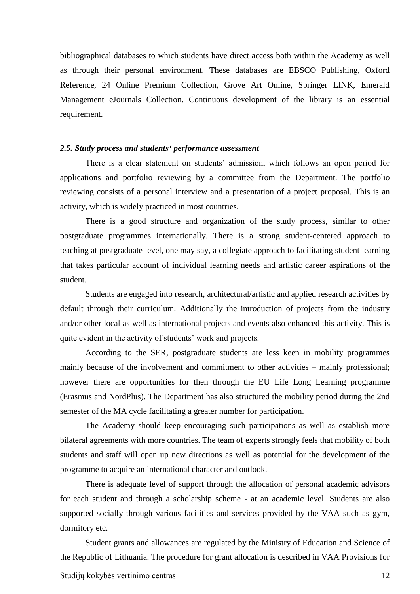bibliographical databases to which students have direct access both within the Academy as well as through their personal environment. These databases are EBSCO Publishing, Oxford Reference, 24 Online Premium Collection, Grove Art Online, Springer LINK, Emerald Management eJournals Collection. Continuous development of the library is an essential requirement.

#### <span id="page-11-0"></span>*2.5. Study process and students' performance assessment*

There is a clear statement on students' admission, which follows an open period for applications and portfolio reviewing by a committee from the Department. The portfolio reviewing consists of a personal interview and a presentation of a project proposal. This is an activity, which is widely practiced in most countries.

There is a good structure and organization of the study process, similar to other postgraduate programmes internationally. There is a strong student-centered approach to teaching at postgraduate level, one may say, a collegiate approach to facilitating student learning that takes particular account of individual learning needs and artistic career aspirations of the student.

Students are engaged into research, architectural/artistic and applied research activities by default through their curriculum. Additionally the introduction of projects from the industry and/or other local as well as international projects and events also enhanced this activity. This is quite evident in the activity of students' work and projects.

According to the SER, postgraduate students are less keen in mobility programmes mainly because of the involvement and commitment to other activities – mainly professional; however there are opportunities for then through the EU Life Long Learning programme (Erasmus and NordPlus). The Department has also structured the mobility period during the 2nd semester of the MA cycle facilitating a greater number for participation.

The Academy should keep encouraging such participations as well as establish more bilateral agreements with more countries. The team of experts strongly feels that mobility of both students and staff will open up new directions as well as potential for the development of the programme to acquire an international character and outlook.

There is adequate level of support through the allocation of personal academic advisors for each student and through a scholarship scheme - at an academic level. Students are also supported socially through various facilities and services provided by the VAA such as gym, dormitory etc.

Student grants and allowances are regulated by the Ministry of Education and Science of the Republic of Lithuania. The procedure for grant allocation is described in VAA Provisions for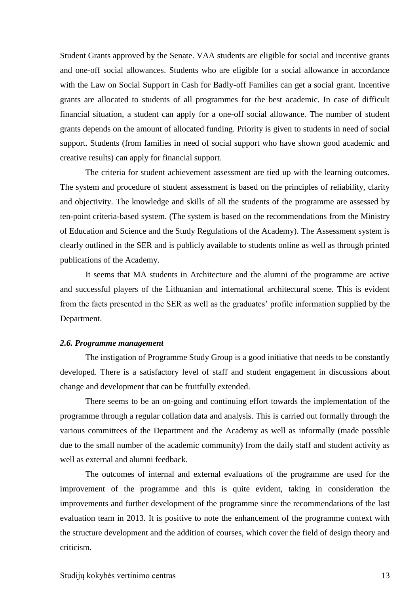Student Grants approved by the Senate. VAA students are eligible for social and incentive grants and one-off social allowances. Students who are eligible for a social allowance in accordance with the Law on Social Support in Cash for Badly-off Families can get a social grant. Incentive grants are allocated to students of all programmes for the best academic. In case of difficult financial situation, a student can apply for a one-off social allowance. The number of student grants depends on the amount of allocated funding. Priority is given to students in need of social support. Students (from families in need of social support who have shown good academic and creative results) can apply for financial support.

The criteria for student achievement assessment are tied up with the learning outcomes. The system and procedure of student assessment is based on the principles of reliability, clarity and objectivity. The knowledge and skills of all the students of the programme are assessed by ten-point criteria-based system. (The system is based on the recommendations from the Ministry of Education and Science and the Study Regulations of the Academy). The Assessment system is clearly outlined in the SER and is publicly available to students online as well as through printed publications of the Academy.

It seems that MA students in Architecture and the alumni of the programme are active and successful players of the Lithuanian and international architectural scene. This is evident from the facts presented in the SER as well as the graduates' profile information supplied by the Department.

#### <span id="page-12-0"></span>*2.6. Programme management*

The instigation of Programme Study Group is a good initiative that needs to be constantly developed. There is a satisfactory level of staff and student engagement in discussions about change and development that can be fruitfully extended.

There seems to be an on-going and continuing effort towards the implementation of the programme through a regular collation data and analysis. This is carried out formally through the various committees of the Department and the Academy as well as informally (made possible due to the small number of the academic community) from the daily staff and student activity as well as external and alumni feedback.

The outcomes of internal and external evaluations of the programme are used for the improvement of the programme and this is quite evident, taking in consideration the improvements and further development of the programme since the recommendations of the last evaluation team in 2013. It is positive to note the enhancement of the programme context with the structure development and the addition of courses, which cover the field of design theory and criticism.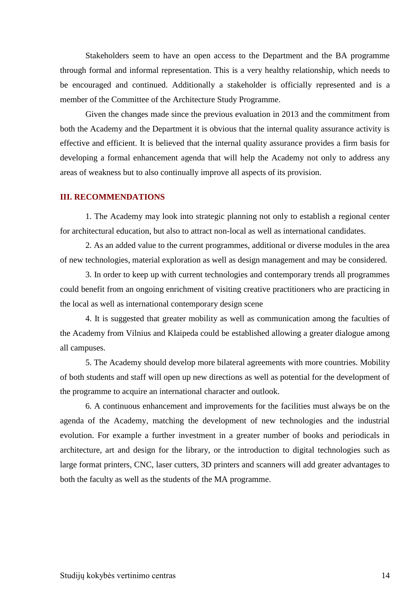Stakeholders seem to have an open access to the Department and the BA programme through formal and informal representation. This is a very healthy relationship, which needs to be encouraged and continued. Additionally a stakeholder is officially represented and is a member of the Committee of the Architecture Study Programme.

Given the changes made since the previous evaluation in 2013 and the commitment from both the Academy and the Department it is obvious that the internal quality assurance activity is effective and efficient. It is believed that the internal quality assurance provides a firm basis for developing a formal enhancement agenda that will help the Academy not only to address any areas of weakness but to also continually improve all aspects of its provision.

## <span id="page-13-0"></span>**III. RECOMMENDATIONS**

1. The Academy may look into strategic planning not only to establish a regional center for architectural education, but also to attract non-local as well as international candidates.

2. As an added value to the current programmes, additional or diverse modules in the area of new technologies, material exploration as well as design management and may be considered.

3. In order to keep up with current technologies and contemporary trends all programmes could benefit from an ongoing enrichment of visiting creative practitioners who are practicing in the local as well as international contemporary design scene

4. It is suggested that greater mobility as well as communication among the faculties of the Academy from Vilnius and Klaipeda could be established allowing a greater dialogue among all campuses.

5. The Academy should develop more bilateral agreements with more countries. Mobility of both students and staff will open up new directions as well as potential for the development of the programme to acquire an international character and outlook.

6. A continuous enhancement and improvements for the facilities must always be on the agenda of the Academy, matching the development of new technologies and the industrial evolution. For example a further investment in a greater number of books and periodicals in architecture, art and design for the library, or the introduction to digital technologies such as large format printers, CNC, laser cutters, 3D printers and scanners will add greater advantages to both the faculty as well as the students of the MA programme.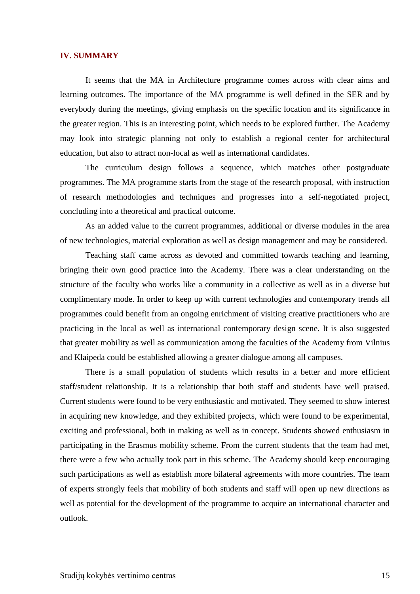#### <span id="page-14-0"></span>**IV. SUMMARY**

It seems that the MA in Architecture programme comes across with clear aims and learning outcomes. The importance of the MA programme is well defined in the SER and by everybody during the meetings, giving emphasis on the specific location and its significance in the greater region. This is an interesting point, which needs to be explored further. The Academy may look into strategic planning not only to establish a regional center for architectural education, but also to attract non-local as well as international candidates.

The curriculum design follows a sequence, which matches other postgraduate programmes. The MA programme starts from the stage of the research proposal, with instruction of research methodologies and techniques and progresses into a self-negotiated project, concluding into a theoretical and practical outcome.

As an added value to the current programmes, additional or diverse modules in the area of new technologies, material exploration as well as design management and may be considered.

Teaching staff came across as devoted and committed towards teaching and learning, bringing their own good practice into the Academy. There was a clear understanding on the structure of the faculty who works like a community in a collective as well as in a diverse but complimentary mode. In order to keep up with current technologies and contemporary trends all programmes could benefit from an ongoing enrichment of visiting creative practitioners who are practicing in the local as well as international contemporary design scene. It is also suggested that greater mobility as well as communication among the faculties of the Academy from Vilnius and Klaipeda could be established allowing a greater dialogue among all campuses.

There is a small population of students which results in a better and more efficient staff/student relationship. It is a relationship that both staff and students have well praised. Current students were found to be very enthusiastic and motivated. They seemed to show interest in acquiring new knowledge, and they exhibited projects, which were found to be experimental, exciting and professional, both in making as well as in concept. Students showed enthusiasm in participating in the Erasmus mobility scheme. From the current students that the team had met, there were a few who actually took part in this scheme. The Academy should keep encouraging such participations as well as establish more bilateral agreements with more countries. The team of experts strongly feels that mobility of both students and staff will open up new directions as well as potential for the development of the programme to acquire an international character and outlook.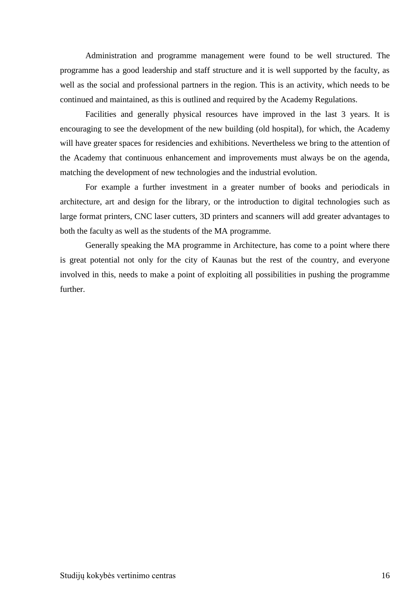Administration and programme management were found to be well structured. The programme has a good leadership and staff structure and it is well supported by the faculty, as well as the social and professional partners in the region. This is an activity, which needs to be continued and maintained, as this is outlined and required by the Academy Regulations.

Facilities and generally physical resources have improved in the last 3 years. It is encouraging to see the development of the new building (old hospital), for which, the Academy will have greater spaces for residencies and exhibitions. Nevertheless we bring to the attention of the Academy that continuous enhancement and improvements must always be on the agenda, matching the development of new technologies and the industrial evolution.

For example a further investment in a greater number of books and periodicals in architecture, art and design for the library, or the introduction to digital technologies such as large format printers, CNC laser cutters, 3D printers and scanners will add greater advantages to both the faculty as well as the students of the MA programme.

Generally speaking the MA programme in Architecture, has come to a point where there is great potential not only for the city of Kaunas but the rest of the country, and everyone involved in this, needs to make a point of exploiting all possibilities in pushing the programme further.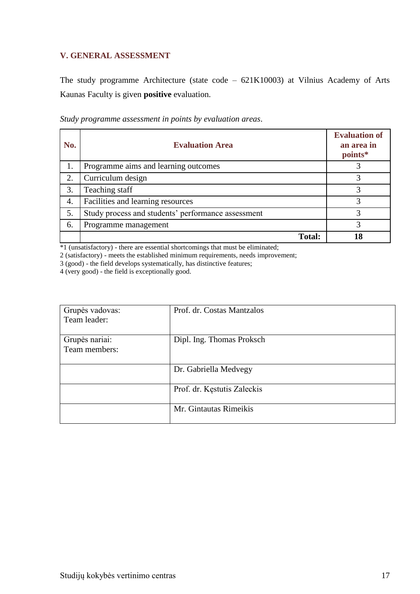# <span id="page-16-0"></span>**V. GENERAL ASSESSMENT**

The study programme Architecture (state code – 621K10003) at Vilnius Academy of Arts Kaunas Faculty is given **positive** evaluation.

| No. | <b>Evaluation Area</b>               | <b>Evaluation of</b><br>an area in<br>points* |
|-----|--------------------------------------|-----------------------------------------------|
|     | Programme aims and learning outcomes |                                               |
|     | Curriculum design                    |                                               |
|     | Teaching staff                       |                                               |

4. Facilities and learning resources 3 5. Study process and students' performance assessment 3 6. Programme management 3

*Study programme assessment in points by evaluation areas*.

\*1 (unsatisfactory) - there are essential shortcomings that must be eliminated;

2 (satisfactory) - meets the established minimum requirements, needs improvement;

3 (good) - the field develops systematically, has distinctive features;

4 (very good) - the field is exceptionally good.

| Grupės vadovas: | Prof. dr. Costas Mantzalos  |
|-----------------|-----------------------------|
| Team leader:    |                             |
|                 |                             |
| Grupės nariai:  | Dipl. Ing. Thomas Proksch   |
| Team members:   |                             |
|                 |                             |
|                 | Dr. Gabriella Medvegy       |
|                 |                             |
|                 | Prof. dr. Kęstutis Zaleckis |
|                 |                             |
|                 | Mr. Gintautas Rimeikis      |
|                 |                             |

**Total: 18**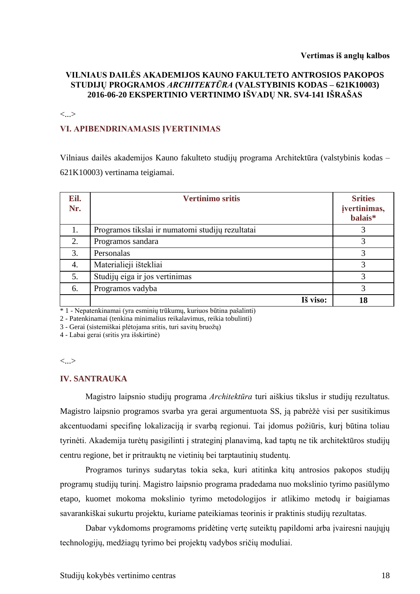#### **Vertimas iš anglų kalbos**

# **VILNIAUS DAILĖS AKADEMIJOS KAUNO FAKULTETO ANTROSIOS PAKOPOS STUDIJŲ PROGRAMOS** *ARCHITEKTŪRA* **(VALSTYBINIS KODAS – 621K10003) 2016-06-20 EKSPERTINIO VERTINIMO IŠVADŲ NR. SV4-141 IŠRAŠAS**

<...>

## **VI. APIBENDRINAMASIS ĮVERTINIMAS**

Vilniaus dailės akademijos Kauno fakulteto studijų programa Architektūra (valstybinis kodas – 621K10003) vertinama teigiamai.

| Eil.<br>Nr. | <b>Vertinimo sritis</b>                          | <b>Srities</b><br>įvertinimas,<br>balais* |
|-------------|--------------------------------------------------|-------------------------------------------|
| 1.          | Programos tikslai ir numatomi studijų rezultatai |                                           |
| 2.          | Programos sandara                                | 3                                         |
| 3.          | Personalas                                       | 3                                         |
| 4.          | Materialieji ištekliai                           |                                           |
| 5.          | Studijų eiga ir jos vertinimas                   | 3                                         |
| 6.          | Programos vadyba                                 | 3                                         |
|             | Iš viso:                                         | 18                                        |

\* 1 - Nepatenkinamai (yra esminių trūkumų, kuriuos būtina pašalinti)

2 - Patenkinamai (tenkina minimalius reikalavimus, reikia tobulinti)

3 - Gerai (sistemiškai plėtojama sritis, turi savitų bruožų)

4 - Labai gerai (sritis yra išskirtinė)

 $\langle \ldots \rangle$ 

#### **IV. SANTRAUKA**

Magistro laipsnio studijų programa *Architektūra* turi aiškius tikslus ir studijų rezultatus. Magistro laipsnio programos svarba yra gerai argumentuota SS, ją pabrėžė visi per susitikimus akcentuodami specifinę lokalizaciją ir svarbą regionui. Tai įdomus požiūris, kurį būtina toliau tyrinėti. Akademija turėtų pasigilinti į strateginį planavimą, kad taptų ne tik architektūros studijų centru regione, bet ir pritrauktų ne vietinių bei tarptautinių studentų.

Programos turinys sudarytas tokia seka, kuri atitinka kitų antrosios pakopos studijų programų studijų turinį. Magistro laipsnio programa pradedama nuo mokslinio tyrimo pasiūlymo etapo, kuomet mokoma mokslinio tyrimo metodologijos ir atlikimo metodų ir baigiamas savarankiškai sukurtu projektu, kuriame pateikiamas teorinis ir praktinis studijų rezultatas.

Dabar vykdomoms programoms pridėtinę vertę suteiktų papildomi arba įvairesni naujųjų technologijų, medžiagų tyrimo bei projektų vadybos sričių moduliai.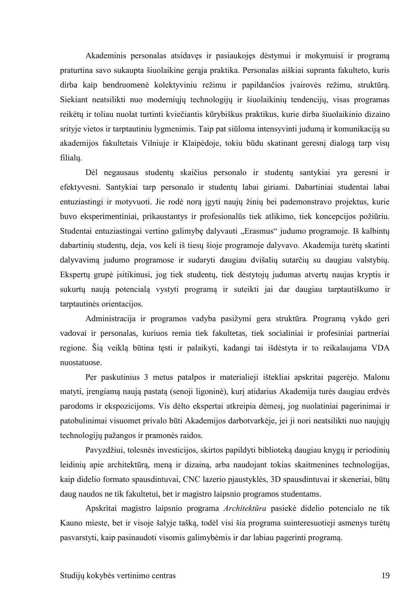Akademinis personalas atsidavęs ir pasiaukojęs dėstymui ir mokymuisi ir programą praturtina savo sukaupta šiuolaikine gerąja praktika. Personalas aiškiai supranta fakulteto, kuris dirba kaip bendruomenė kolektyviniu režimu ir papildančios įvairovės režimu, struktūrą. Siekiant neatsilikti nuo moderniųjų technologijų ir šiuolaikinių tendencijų, visas programas reikėtų ir toliau nuolat turtinti kviečiantis kūrybiškus praktikus, kurie dirba šiuolaikinio dizaino srityje vietos ir tarptautiniu lygmenimis. Taip pat siūloma intensyvinti judumą ir komunikaciją su akademijos fakultetais Vilniuje ir Klaipėdoje, tokiu būdu skatinant geresnį dialogą tarp visų filialų.

Dėl negausaus studentų skaičius personalo ir studentų santykiai yra geresni ir efektyvesni. Santykiai tarp personalo ir studentų labai giriami. Dabartiniai studentai labai entuziastingi ir motyvuoti. Jie rodė norą įgyti naujų žinių bei pademonstravo projektus, kurie buvo eksperimentiniai, prikaustantys ir profesionalūs tiek atlikimo, tiek koncepcijos požiūriu. Studentai entuziastingai vertino galimybę dalyvauti "Erasmus" judumo programoje. Iš kalbintų dabartinių studentų, deja, vos keli iš tiesų šioje programoje dalyvavo. Akademija turėtų skatinti dalyvavimą judumo programose ir sudaryti daugiau dvišalių sutarčių su daugiau valstybių. Ekspertų grupė įsitikinusi, jog tiek studentų, tiek dėstytojų judumas atvertų naujas kryptis ir sukurtų naują potencialą vystyti programą ir suteikti jai dar daugiau tarptautiškumo ir tarptautinės orientacijos.

Administracija ir programos vadyba pasižymi gera struktūra. Programą vykdo geri vadovai ir personalas, kuriuos remia tiek fakultetas, tiek socialiniai ir profesiniai partneriai regione. Šią veiklą būtina tęsti ir palaikyti, kadangi tai išdėstyta ir to reikalaujama VDA nuostatuose.

Per paskutinius 3 metus patalpos ir materialieji ištekliai apskritai pagerėjo. Malonu matyti, įrengiamą naują pastatą (senoji ligoninė), kurį atidarius Akademija turės daugiau erdvės parodoms ir ekspozicijoms. Vis dėlto ekspertai atkreipia dėmesį, jog nuolatiniai pagerinimai ir patobulinimai visuomet privalo būti Akademijos darbotvarkėje, jei ji nori neatsilikti nuo naujųjų technologijų pažangos ir pramonės raidos.

Pavyzdžiui, tolesnės investicijos, skirtos papildyti biblioteką daugiau knygų ir periodinių leidinių apie architektūrą, meną ir dizainą, arba naudojant tokias skaitmenines technologijas, kaip didelio formato spausdintuvai, CNC lazerio pjaustyklės, 3D spausdintuvai ir skeneriai, būtų daug naudos ne tik fakultetui, bet ir magistro laipsnio programos studentams.

Apskritai magistro laipsnio programa *Architektūra* pasiekė didelio potencialo ne tik Kauno mieste, bet ir visoje šalyje tašką, todėl visi šia programa suinteresuotieji asmenys turėtų pasvarstyti, kaip pasinaudoti visomis galimybėmis ir dar labiau pagerinti programą.